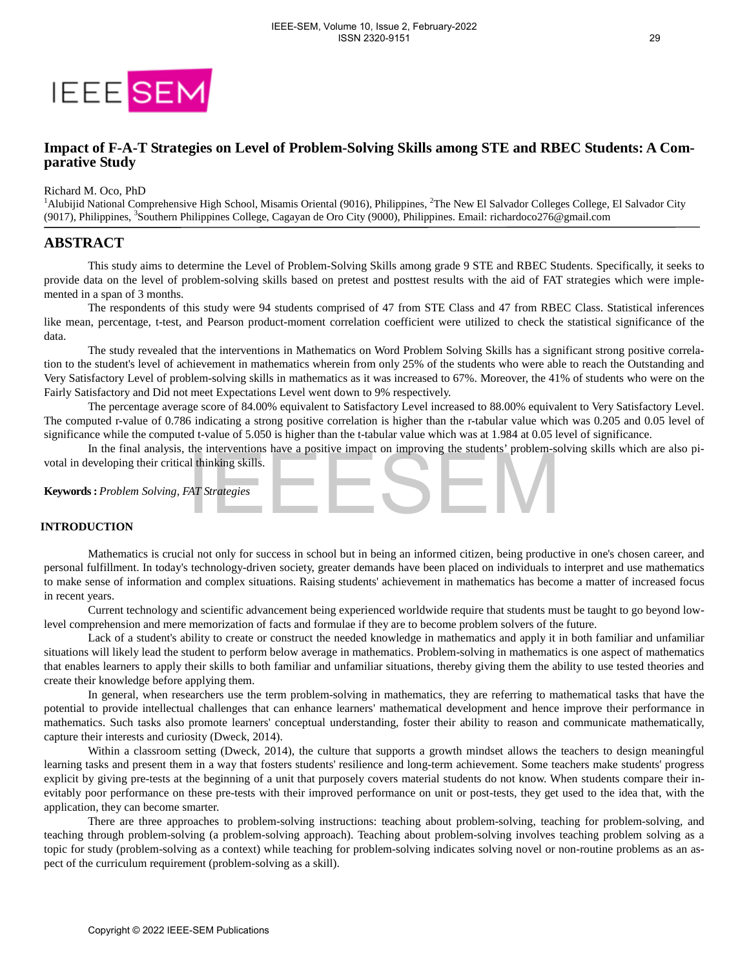

# **Impact of F-A-T Strategies on Level of Problem-Solving Skills among STE and RBEC Students: A Comparative Study**

Richard M. Oco, PhD

<sup>1</sup>Alubijid National Comprehensive High School, Misamis Oriental (9016), Philippines, <sup>2</sup>The New El Salvador Colleges College, El Salvador City (9017), Philippines, <sup>3</sup>Southern Philippines College, Cagayan de Oro City (9000), Philippines. Email: richardoco276@gmail.com

# **ABSTRACT**

This study aims to determine the Level of Problem-Solving Skills among grade 9 STE and RBEC Students. Specifically, it seeks to provide data on the level of problem-solving skills based on pretest and posttest results with the aid of FAT strategies which were implemented in a span of 3 months.

The respondents of this study were 94 students comprised of 47 from STE Class and 47 from RBEC Class. Statistical inferences like mean, percentage, t-test, and Pearson product-moment correlation coefficient were utilized to check the statistical significance of the data.

The study revealed that the interventions in Mathematics on Word Problem Solving Skills has a significant strong positive correlation to the student's level of achievement in mathematics wherein from only 25% of the students who were able to reach the Outstanding and Very Satisfactory Level of problem-solving skills in mathematics as it was increased to 67%. Moreover, the 41% of students who were on the Fairly Satisfactory and Did not meet Expectations Level went down to 9% respectively.

The percentage average score of 84.00% equivalent to Satisfactory Level increased to 88.00% equivalent to Very Satisfactory Level. The computed r-value of 0.786 indicating a strong positive correlation is higher than the r-tabular value which was 0.205 and 0.05 level of significance while the computed t-value of 5.050 is higher than the t-tabular value which was at 1.984 at 0.05 level of significance.

In the final analysis, the interventions have a positive impact on improving the students' problem-solving skills which are also pivotal in developing their critical thinking skills.

**Keywords :** *Problem Solving, FAT Strategies*

## **INTRODUCTION**

Mathematics is crucial not only for success in school but in being an informed citizen, being productive in one's chosen career, and personal fulfillment. In today's technology-driven society, greater demands have been placed on individuals to interpret and use mathematics to make sense of information and complex situations. Raising students' achievement in mathematics has become a matter of increased focus in recent years.

Current technology and scientific advancement being experienced worldwide require that students must be taught to go beyond lowlevel comprehension and mere memorization of facts and formulae if they are to become problem solvers of the future.

Lack of a student's ability to create or construct the needed knowledge in mathematics and apply it in both familiar and unfamiliar situations will likely lead the student to perform below average in mathematics. Problem-solving in mathematics is one aspect of mathematics that enables learners to apply their skills to both familiar and unfamiliar situations, thereby giving them the ability to use tested theories and create their knowledge before applying them.

In general, when researchers use the term problem-solving in mathematics, they are referring to mathematical tasks that have the potential to provide intellectual challenges that can enhance learners' mathematical development and hence improve their performance in mathematics. Such tasks also promote learners' conceptual understanding, foster their ability to reason and communicate mathematically, capture their interests and curiosity (Dweck, 2014).

Within a classroom setting (Dweck, 2014), the culture that supports a growth mindset allows the teachers to design meaningful learning tasks and present them in a way that fosters students' resilience and long-term achievement. Some teachers make students' progress explicit by giving pre-tests at the beginning of a unit that purposely covers material students do not know. When students compare their inevitably poor performance on these pre-tests with their improved performance on unit or post-tests, they get used to the idea that, with the application, they can become smarter. In the mat anausys), as one versions have a positive minibal mathematic or improving inc students problems;<br>severaling their critical thinking skills.<br>See *Problem Solving, FAT Strategies*<br>Corrichy the critical into only f

There are three approaches to problem-solving instructions: teaching about problem-solving, teaching for problem-solving, and teaching through problem-solving (a problem-solving approach). Teaching about problem-solving involves teaching problem solving as a topic for study (problem-solving as a context) while teaching for problem-solving indicates solving novel or non-routine problems as an aspect of the curriculum requirement (problem-solving as a skill).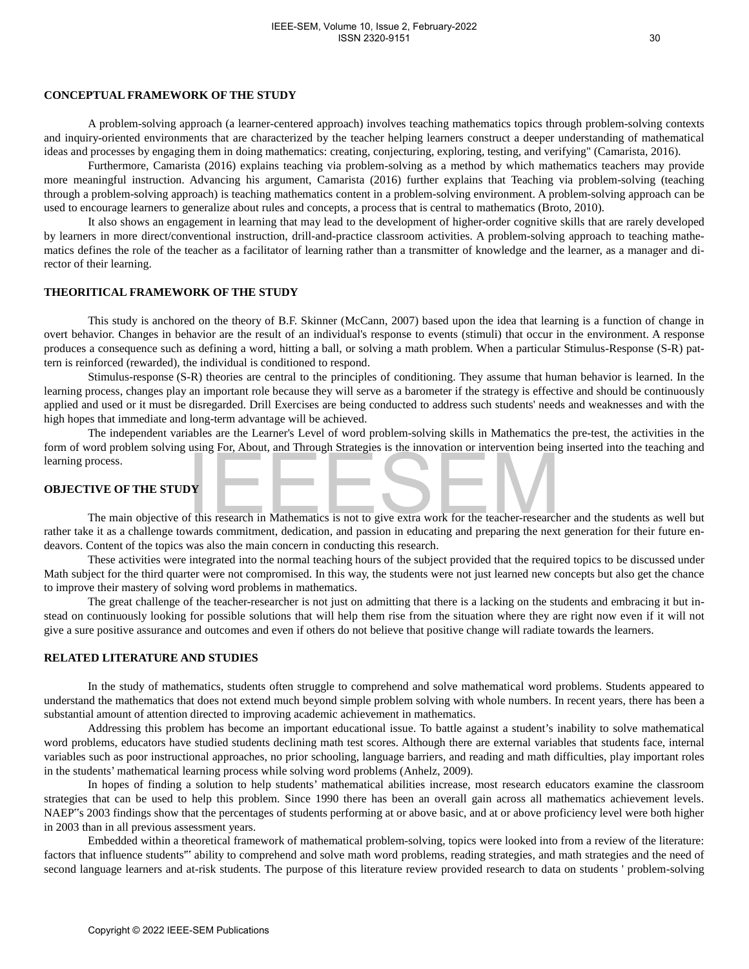## **CONCEPTUAL FRAMEWORK OF THE STUDY**

A problem-solving approach (a learner-centered approach) involves teaching mathematics topics through problem-solving contexts and inquiry-oriented environments that are characterized by the teacher helping learners construct a deeper understanding of mathematical ideas and processes by engaging them in doing mathematics: creating, conjecturing, exploring, testing, and verifying" (Camarista, 2016).

Furthermore, Camarista (2016) explains teaching via problem-solving as a method by which mathematics teachers may provide more meaningful instruction. Advancing his argument, Camarista (2016) further explains that Teaching via problem-solving (teaching through a problem-solving approach) is teaching mathematics content in a problem-solving environment. A problem-solving approach can be used to encourage learners to generalize about rules and concepts, a process that is central to mathematics (Broto, 2010).

It also shows an engagement in learning that may lead to the development of higher-order cognitive skills that are rarely developed by learners in more direct/conventional instruction, drill-and-practice classroom activities. A problem-solving approach to teaching mathematics defines the role of the teacher as a facilitator of learning rather than a transmitter of knowledge and the learner, as a manager and director of their learning.

### **THEORITICAL FRAMEWORK OF THE STUDY**

This study is anchored on the theory of B.F. Skinner (McCann, 2007) based upon the idea that learning is a function of change in overt behavior. Changes in behavior are the result of an individual's response to events (stimuli) that occur in the environment. A response produces a consequence such as defining a word, hitting a ball, or solving a math problem. When a particular Stimulus-Response (S-R) pattern is reinforced (rewarded), the individual is conditioned to respond.

Stimulus-response (S-R) theories are central to the principles of conditioning. They assume that human behavior is learned. In the learning process, changes play an important role because they will serve as a barometer if the strategy is effective and should be continuously applied and used or it must be disregarded. Drill Exercises are being conducted to address such students' needs and weaknesses and with the high hopes that immediate and long-term advantage will be achieved.

The independent variables are the Learner's Level of word problem-solving skills in Mathematics the pre-test, the activities in the form of word problem solving using For, About, and Through Strategies is the innovation or intervention being inserted into the teaching and learning process.

## **OBJECTIVE OF THE STUDY**

The main objective of this research in Mathematics is not to give extra work for the teacher-researcher and the students as well but rather take it as a challenge towards commitment, dedication, and passion in educating and preparing the next generation for their future endeavors. Content of the topics was also the main concern in conducting this research.

These activities were integrated into the normal teaching hours of the subject provided that the required topics to be discussed under Math subject for the third quarter were not compromised. In this way, the students were not just learned new concepts but also get the chance to improve their mastery of solving word problems in mathematics.

The great challenge of the teacher-researcher is not just on admitting that there is a lacking on the students and embracing it but instead on continuously looking for possible solutions that will help them rise from the situation where they are right now even if it will not give a sure positive assurance and outcomes and even if others do not believe that positive change will radiate towards the learners.

### **RELATED LITERATURE AND STUDIES**

In the study of mathematics, students often struggle to comprehend and solve mathematical word problems. Students appeared to understand the mathematics that does not extend much beyond simple problem solving with whole numbers. In recent years, there has been a substantial amount of attention directed to improving academic achievement in mathematics.

Addressing this problem has become an important educational issue. To battle against a student's inability to solve mathematical word problems, educators have studied students declining math test scores. Although there are external variables that students face, internal variables such as poor instructional approaches, no prior schooling, language barriers, and reading and math difficulties, play important roles in the students' mathematical learning process while solving word problems (Anhelz, 2009). Solven and the state of this research in Mathematics is not to give extra work for the teacher-research<br>The main objective of this research in Mathematics is not to give extra work for the teacher-research<br>The main objecti

In hopes of finding a solution to help students' mathematical abilities increase, most research educators examine the classroom strategies that can be used to help this problem. Since 1990 there has been an overall gain across all mathematics achievement levels. NAEP"s 2003 findings show that the percentages of students performing at or above basic, and at or above proficiency level were both higher in 2003 than in all previous assessment years.

Embedded within a theoretical framework of mathematical problem-solving, topics were looked into from a review of the literature: factors that influence students" ability to comprehend and solve math word problems, reading strategies, and math strategies and the need of second language learners and at-risk students. The purpose of this literature review provided research to data on students ' problem-solving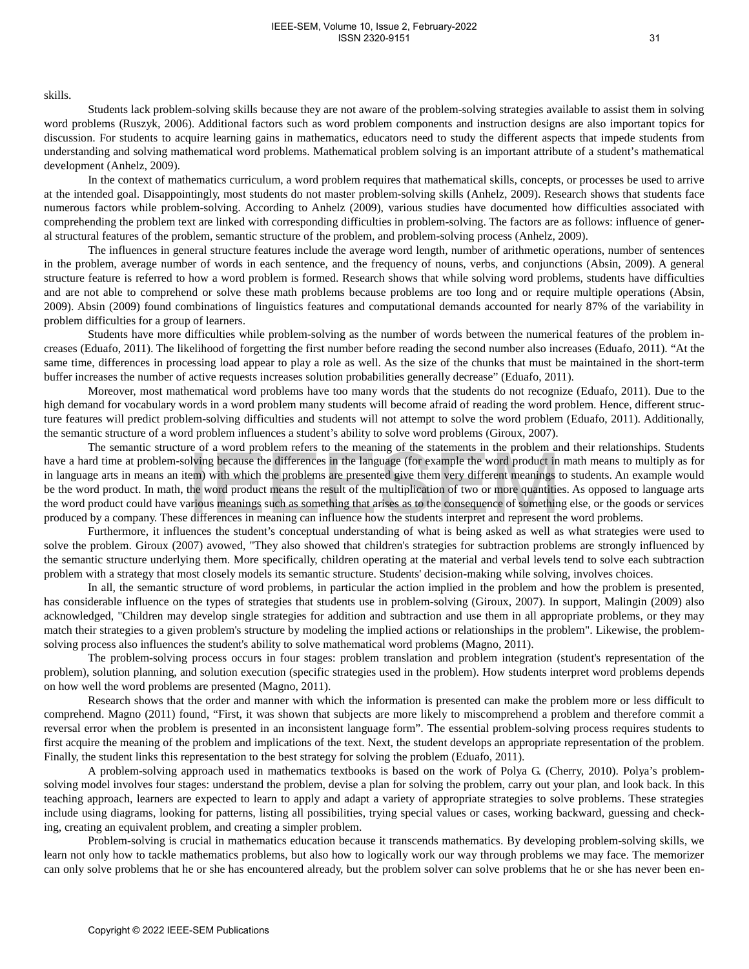#### IEEE-SEM, Volume 10, Issue 2, February-2022 ISSN 2320-9151

## skills.

Students lack problem-solving skills because they are not aware of the problem-solving strategies available to assist them in solving word problems (Ruszyk, 2006). Additional factors such as word problem components and instruction designs are also important topics for discussion. For students to acquire learning gains in mathematics, educators need to study the different aspects that impede students from understanding and solving mathematical word problems. Mathematical problem solving is an important attribute of a student's mathematical development (Anhelz, 2009).

In the context of mathematics curriculum, a word problem requires that mathematical skills, concepts, or processes be used to arrive at the intended goal. Disappointingly, most students do not master problem-solving skills (Anhelz, 2009). Research shows that students face numerous factors while problem-solving. According to Anhelz (2009), various studies have documented how difficulties associated with comprehending the problem text are linked with corresponding difficulties in problem-solving. The factors are as follows: influence of general structural features of the problem, semantic structure of the problem, and problem-solving process (Anhelz, 2009).

The influences in general structure features include the average word length, number of arithmetic operations, number of sentences in the problem, average number of words in each sentence, and the frequency of nouns, verbs, and conjunctions (Absin, 2009). A general structure feature is referred to how a word problem is formed. Research shows that while solving word problems, students have difficulties and are not able to comprehend or solve these math problems because problems are too long and or require multiple operations (Absin, 2009). Absin (2009) found combinations of linguistics features and computational demands accounted for nearly 87% of the variability in problem difficulties for a group of learners.

Students have more difficulties while problem-solving as the number of words between the numerical features of the problem increases (Eduafo, 2011). The likelihood of forgetting the first number before reading the second number also increases (Eduafo, 2011). "At the same time, differences in processing load appear to play a role as well. As the size of the chunks that must be maintained in the short-term buffer increases the number of active requests increases solution probabilities generally decrease" (Eduafo, 2011).

Moreover, most mathematical word problems have too many words that the students do not recognize (Eduafo, 2011). Due to the high demand for vocabulary words in a word problem many students will become afraid of reading the word problem. Hence, different structure features will predict problem-solving difficulties and students will not attempt to solve the word problem (Eduafo, 2011). Additionally, the semantic structure of a word problem influences a student's ability to solve word problems (Giroux, 2007).

The semantic structure of a word problem refers to the meaning of the statements in the problem and their relationships. Students have a hard time at problem-solving because the differences in the language (for example the word product in math means to multiply as for in language arts in means an item) with which the problems are presented give them very different meanings to students. An example would be the word product. In math, the word product means the result of the multiplication of two or more quantities. As opposed to language arts the word product could have various meanings such as something that arises as to the consequence of something else, or the goods or services produced by a company. These differences in meaning can influence how the students interpret and represent the word problems. Inc. was much concerned on the model in smallength of the mannear of the matter of the matter and increase the differences in the linguage (for example the word product in the parts in means in terms) with which the proble

Furthermore, it influences the student's conceptual understanding of what is being asked as well as what strategies were used to solve the problem. Giroux (2007) avowed, "They also showed that children's strategies for subtraction problems are strongly influenced by the semantic structure underlying them. More specifically, children operating at the material and verbal levels tend to solve each subtraction problem with a strategy that most closely models its semantic structure. Students' decision-making while solving, involves choices.

In all, the semantic structure of word problems, in particular the action implied in the problem and how the problem is presented, has considerable influence on the types of strategies that students use in problem-solving (Giroux, 2007). In support, Malingin (2009) also acknowledged, "Children may develop single strategies for addition and subtraction and use them in all appropriate problems, or they may match their strategies to a given problem's structure by modeling the implied actions or relationships in the problem". Likewise, the problemsolving process also influences the student's ability to solve mathematical word problems (Magno, 2011).

The problem-solving process occurs in four stages: problem translation and problem integration (student's representation of the problem), solution planning, and solution execution (specific strategies used in the problem). How students interpret word problems depends on how well the word problems are presented (Magno, 2011).

Research shows that the order and manner with which the information is presented can make the problem more or less difficult to comprehend. Magno (2011) found, "First, it was shown that subjects are more likely to miscomprehend a problem and therefore commit a reversal error when the problem is presented in an inconsistent language form". The essential problem-solving process requires students to first acquire the meaning of the problem and implications of the text. Next, the student develops an appropriate representation of the problem. Finally, the student links this representation to the best strategy for solving the problem (Eduafo, 2011).

A problem-solving approach used in mathematics textbooks is based on the work of Polya G. (Cherry, 2010). Polya's problemsolving model involves four stages: understand the problem, devise a plan for solving the problem, carry out your plan, and look back. In this teaching approach, learners are expected to learn to apply and adapt a variety of appropriate strategies to solve problems. These strategies include using diagrams, looking for patterns, listing all possibilities, trying special values or cases, working backward, guessing and checking, creating an equivalent problem, and creating a simpler problem.

Problem-solving is crucial in mathematics education because it transcends mathematics. By developing problem-solving skills, we learn not only how to tackle mathematics problems, but also how to logically work our way through problems we may face. The memorizer can only solve problems that he or she has encountered already, but the problem solver can solve problems that he or she has never been en-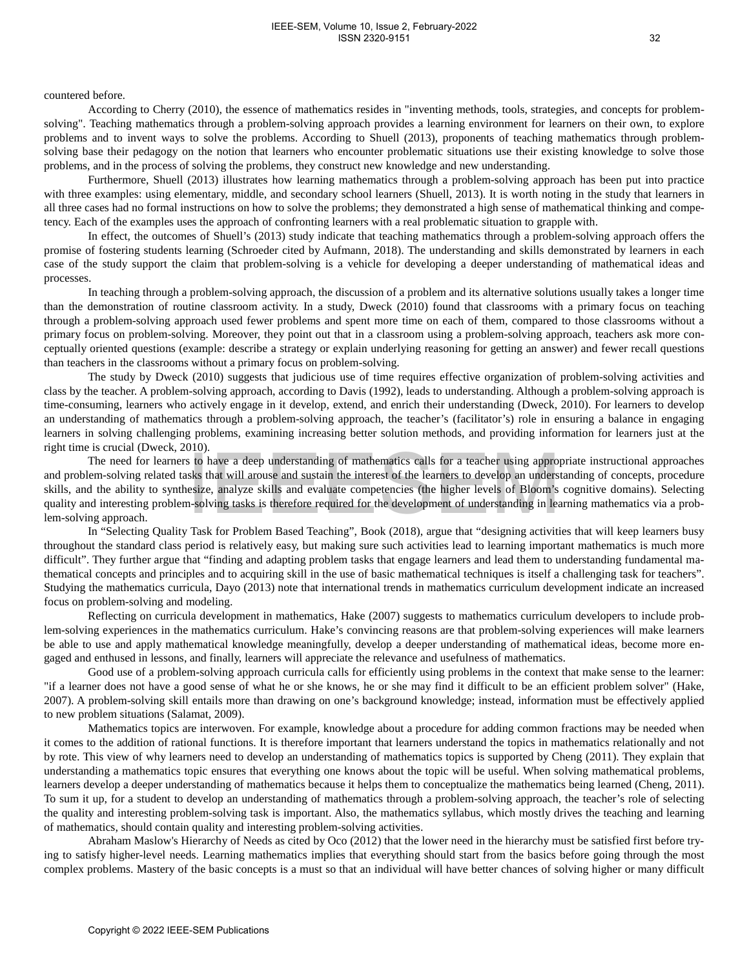#### countered before.

According to Cherry (2010), the essence of mathematics resides in "inventing methods, tools, strategies, and concepts for problemsolving". Teaching mathematics through a problem-solving approach provides a learning environment for learners on their own, to explore problems and to invent ways to solve the problems. According to Shuell (2013), proponents of teaching mathematics through problemsolving base their pedagogy on the notion that learners who encounter problematic situations use their existing knowledge to solve those problems, and in the process of solving the problems, they construct new knowledge and new understanding.

Furthermore, Shuell (2013) illustrates how learning mathematics through a problem-solving approach has been put into practice with three examples: using elementary, middle, and secondary school learners (Shuell, 2013). It is worth noting in the study that learners in all three cases had no formal instructions on how to solve the problems; they demonstrated a high sense of mathematical thinking and competency. Each of the examples uses the approach of confronting learners with a real problematic situation to grapple with.

In effect, the outcomes of Shuell's (2013) study indicate that teaching mathematics through a problem-solving approach offers the promise of fostering students learning (Schroeder cited by Aufmann, 2018). The understanding and skills demonstrated by learners in each case of the study support the claim that problem-solving is a vehicle for developing a deeper understanding of mathematical ideas and processes.

In teaching through a problem-solving approach, the discussion of a problem and its alternative solutions usually takes a longer time than the demonstration of routine classroom activity. In a study, Dweck (2010) found that classrooms with a primary focus on teaching through a problem-solving approach used fewer problems and spent more time on each of them, compared to those classrooms without a primary focus on problem-solving. Moreover, they point out that in a classroom using a problem-solving approach, teachers ask more conceptually oriented questions (example: describe a strategy or explain underlying reasoning for getting an answer) and fewer recall questions than teachers in the classrooms without a primary focus on problem-solving.

The study by Dweck (2010) suggests that judicious use of time requires effective organization of problem-solving activities and class by the teacher. A problem-solving approach, according to Davis (1992), leads to understanding. Although a problem-solving approach is time-consuming, learners who actively engage in it develop, extend, and enrich their understanding (Dweck, 2010). For learners to develop an understanding of mathematics through a problem-solving approach, the teacher's (facilitator's) role in ensuring a balance in engaging learners in solving challenging problems, examining increasing better solution methods, and providing information for learners just at the right time is crucial (Dweck, 2010).

The need for learners to have a deep understanding of mathematics calls for a teacher using appropriate instructional approaches and problem-solving related tasks that will arouse and sustain the interest of the learners to develop an understanding of concepts, procedure skills, and the ability to synthesize, analyze skills and evaluate competencies (the higher levels of Bloom's cognitive domains). Selecting quality and interesting problem-solving tasks is therefore required for the development of understanding in learning mathematics via a problem-solving approach.

In "Selecting Quality Task for Problem Based Teaching", Book (2018), argue that "designing activities that will keep learners busy throughout the standard class period is relatively easy, but making sure such activities lead to learning important mathematics is much more difficult". They further argue that "finding and adapting problem tasks that engage learners and lead them to understanding fundamental mathematical concepts and principles and to acquiring skill in the use of basic mathematical techniques is itself a challenging task for teachers". Studying the mathematics curricula, Dayo (2013) note that international trends in mathematics curriculum development indicate an increased focus on problem-solving and modeling.

Reflecting on curricula development in mathematics, Hake (2007) suggests to mathematics curriculum developers to include problem-solving experiences in the mathematics curriculum. Hake's convincing reasons are that problem-solving experiences will make learners be able to use and apply mathematical knowledge meaningfully, develop a deeper understanding of mathematical ideas, become more engaged and enthused in lessons, and finally, learners will appreciate the relevance and usefulness of mathematics.

Good use of a problem-solving approach curricula calls for efficiently using problems in the context that make sense to the learner: "if a learner does not have a good sense of what he or she knows, he or she may find it difficult to be an efficient problem solver" (Hake, 2007). A problem-solving skill entails more than drawing on one's background knowledge; instead, information must be effectively applied to new problem situations (Salamat, 2009).

Mathematics topics are interwoven. For example, knowledge about a procedure for adding common fractions may be needed when it comes to the addition of rational functions. It is therefore important that learners understand the topics in mathematics relationally and not by rote. This view of why learners need to develop an understanding of mathematics topics is supported by Cheng (2011). They explain that understanding a mathematics topic ensures that everything one knows about the topic will be useful. When solving mathematical problems, learners develop a deeper understanding of mathematics because it helps them to conceptualize the mathematics being learned (Cheng, 2011). To sum it up, for a student to develop an understanding of mathematics through a problem-solving approach, the teacher's role of selecting the quality and interesting problem-solving task is important. Also, the mathematics syllabus, which mostly drives the teaching and learning of mathematics, should contain quality and interesting problem-solving activities. To tensor to have a deep understanding of mathematics cells for a teacher whing engroment-or-wing engroment converge hastes into will arows and sustain the interest of the tensires of the samely and will arous and sustain

Abraham Maslow's Hierarchy of Needs as cited by Oco (2012) that the lower need in the hierarchy must be satisfied first before trying to satisfy higher-level needs. Learning mathematics implies that everything should start from the basics before going through the most complex problems. Mastery of the basic concepts is a must so that an individual will have better chances of solving higher or many difficult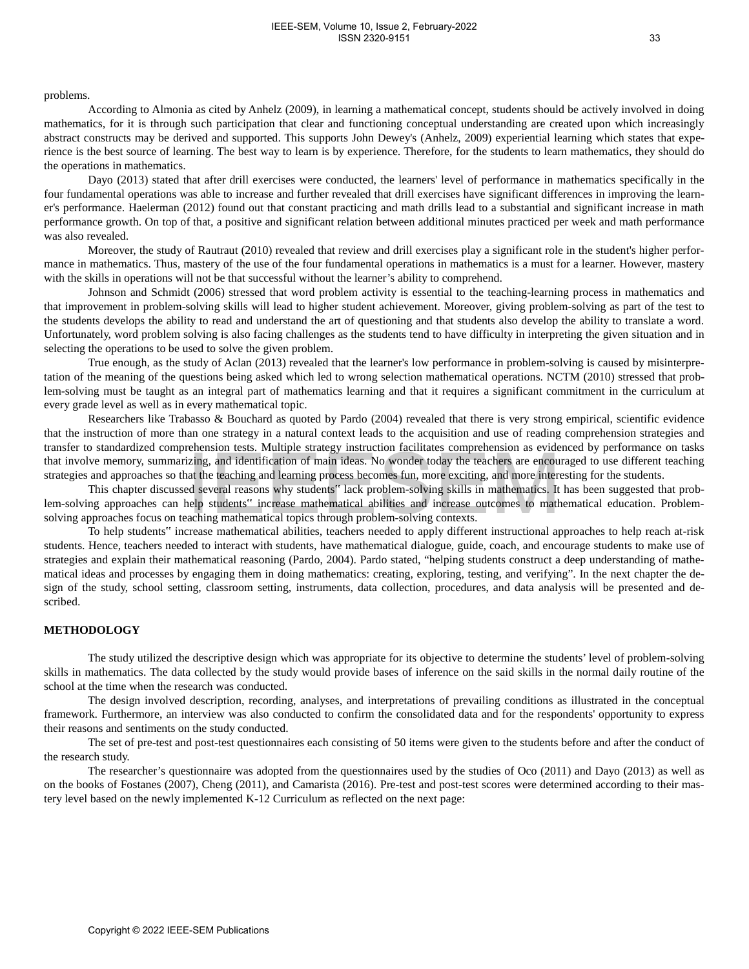### problems.

According to Almonia as cited by Anhelz (2009), in learning a mathematical concept, students should be actively involved in doing mathematics, for it is through such participation that clear and functioning conceptual understanding are created upon which increasingly abstract constructs may be derived and supported. This supports John Dewey's (Anhelz, 2009) experiential learning which states that experience is the best source of learning. The best way to learn is by experience. Therefore, for the students to learn mathematics, they should do the operations in mathematics.

Dayo (2013) stated that after drill exercises were conducted, the learners' level of performance in mathematics specifically in the four fundamental operations was able to increase and further revealed that drill exercises have significant differences in improving the learner's performance. Haelerman (2012) found out that constant practicing and math drills lead to a substantial and significant increase in math performance growth. On top of that, a positive and significant relation between additional minutes practiced per week and math performance was also revealed.

Moreover, the study of Rautraut (2010) revealed that review and drill exercises play a significant role in the student's higher performance in mathematics. Thus, mastery of the use of the four fundamental operations in mathematics is a must for a learner. However, mastery with the skills in operations will not be that successful without the learner's ability to comprehend.

Johnson and Schmidt (2006) stressed that word problem activity is essential to the teaching-learning process in mathematics and that improvement in problem-solving skills will lead to higher student achievement. Moreover, giving problem-solving as part of the test to the students develops the ability to read and understand the art of questioning and that students also develop the ability to translate a word. Unfortunately, word problem solving is also facing challenges as the students tend to have difficulty in interpreting the given situation and in selecting the operations to be used to solve the given problem.

True enough, as the study of Aclan (2013) revealed that the learner's low performance in problem-solving is caused by misinterpretation of the meaning of the questions being asked which led to wrong selection mathematical operations. NCTM (2010) stressed that problem-solving must be taught as an integral part of mathematics learning and that it requires a significant commitment in the curriculum at every grade level as well as in every mathematical topic.

Researchers like Trabasso & Bouchard as quoted by Pardo (2004) revealed that there is very strong empirical, scientific evidence that the instruction of more than one strategy in a natural context leads to the acquisition and use of reading comprehension strategies and transfer to standardized comprehension tests. Multiple strategy instruction facilitates comprehension as evidenced by performance on tasks that involve memory, summarizing, and identification of main ideas. No wonder today the teachers are encouraged to use different teaching strategies and approaches so that the teaching and learning process becomes fun, more exciting, and more interesting for the students.

This chapter discussed several reasons why students" lack problem-solving skills in mathematics. It has been suggested that problem-solving approaches can help students" increase mathematical abilities and increase outcomes to mathematical education. Problemsolving approaches focus on teaching mathematical topics through problem-solving contexts.

To help students" increase mathematical abilities, teachers needed to apply different instructional approaches to help reach at-risk students. Hence, teachers needed to interact with students, have mathematical dialogue, guide, coach, and encourage students to make use of strategies and explain their mathematical reasoning (Pardo, 2004). Pardo stated, "helping students construct a deep understanding of mathematical ideas and processes by engaging them in doing mathematics: creating, exploring, testing, and verifying". In the next chapter the design of the study, school setting, classroom setting, instruments, data collection, procedures, and data analysis will be presented and described. Sommances compute intention of main ideas. No wonder today the teachers are erason to the electron state and approaches to that the electron state and approaches on that in the electron state and approaches on the intenti

### **METHODOLOGY**

The study utilized the descriptive design which was appropriate for its objective to determine the students' level of problem-solving skills in mathematics. The data collected by the study would provide bases of inference on the said skills in the normal daily routine of the school at the time when the research was conducted.

The design involved description, recording, analyses, and interpretations of prevailing conditions as illustrated in the conceptual framework. Furthermore, an interview was also conducted to confirm the consolidated data and for the respondents' opportunity to express their reasons and sentiments on the study conducted.

The set of pre-test and post-test questionnaires each consisting of 50 items were given to the students before and after the conduct of the research study.

The researcher's questionnaire was adopted from the questionnaires used by the studies of Oco (2011) and Dayo (2013) as well as on the books of Fostanes (2007), Cheng (2011), and Camarista (2016). Pre-test and post-test scores were determined according to their mastery level based on the newly implemented K-12 Curriculum as reflected on the next page: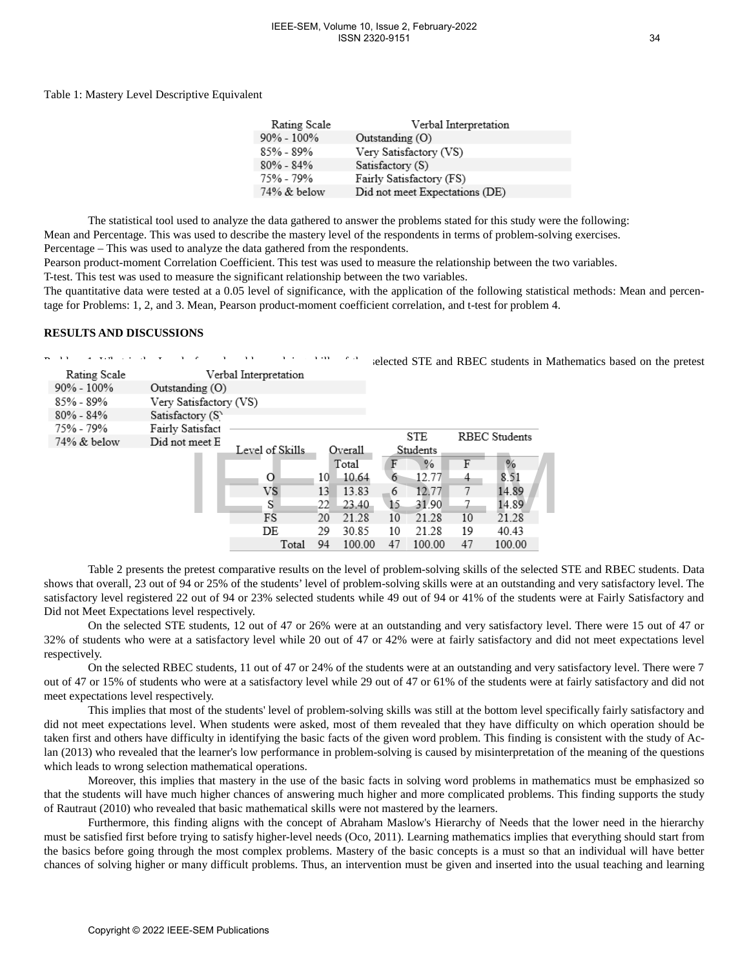#### Table 1: Mastery Level Descriptive Equivalent

| Rating Scale   | Verbal Interpretation          |
|----------------|--------------------------------|
| $90\% - 100\%$ | Outstanding (O)                |
| 85% - 89%      | Very Satisfactory (VS)         |
| $80\% - 84\%$  | Satisfactory (S)               |
| 75% - 79%      | Fairly Satisfactory (FS)       |
| $74\%$ & below | Did not meet Expectations (DE) |

The statistical tool used to analyze the data gathered to answer the problems stated for this study were the following: Mean and Percentage. This was used to describe the mastery level of the respondents in terms of problem-solving exercises. Percentage – This was used to analyze the data gathered from the respondents.

Pearson product-moment Correlation Coefficient. This test was used to measure the relationship between the two variables.

T-test. This test was used to measure the significant relationship between the two variables.

The quantitative data were tested at a 0.05 level of significance, with the application of the following statistical methods: Mean and percentage for Problems: 1, 2, and 3. Mean, Pearson product-moment coefficient correlation, and t-test for problem 4.

#### **RESULTS AND DISCUSSIONS**

| 11<br>$\mathbf{1}$ <b>TTT</b> $\mathbf{1}$ $\mathbf{1}$ | 11                                                                                                                                                                                                            |                       | $1 - 11$ | $C = 1$ |    |            |                |                      | selected STE and RBEC students in Mathematics based on the pretest                                                                                                                                                                                                                                                                                                                                                                                                                                                                                                                                                                                                                                                                                                                                                                                                                                                                                                                                                                                                                                                                                                                                                                                                                                                                                                                                                                                                                                                                                                                                                                                                                                                                                                                                                                                                                                                                                                                                                                                                                                                                                                                                                                                                                                                                                                                                                                                                               |
|---------------------------------------------------------|---------------------------------------------------------------------------------------------------------------------------------------------------------------------------------------------------------------|-----------------------|----------|---------|----|------------|----------------|----------------------|----------------------------------------------------------------------------------------------------------------------------------------------------------------------------------------------------------------------------------------------------------------------------------------------------------------------------------------------------------------------------------------------------------------------------------------------------------------------------------------------------------------------------------------------------------------------------------------------------------------------------------------------------------------------------------------------------------------------------------------------------------------------------------------------------------------------------------------------------------------------------------------------------------------------------------------------------------------------------------------------------------------------------------------------------------------------------------------------------------------------------------------------------------------------------------------------------------------------------------------------------------------------------------------------------------------------------------------------------------------------------------------------------------------------------------------------------------------------------------------------------------------------------------------------------------------------------------------------------------------------------------------------------------------------------------------------------------------------------------------------------------------------------------------------------------------------------------------------------------------------------------------------------------------------------------------------------------------------------------------------------------------------------------------------------------------------------------------------------------------------------------------------------------------------------------------------------------------------------------------------------------------------------------------------------------------------------------------------------------------------------------------------------------------------------------------------------------------------------------|
| Rating Scale                                            |                                                                                                                                                                                                               | Verbal Interpretation |          |         |    |            |                |                      |                                                                                                                                                                                                                                                                                                                                                                                                                                                                                                                                                                                                                                                                                                                                                                                                                                                                                                                                                                                                                                                                                                                                                                                                                                                                                                                                                                                                                                                                                                                                                                                                                                                                                                                                                                                                                                                                                                                                                                                                                                                                                                                                                                                                                                                                                                                                                                                                                                                                                  |
| 90% - 100%                                              | Outstanding (O)                                                                                                                                                                                               |                       |          |         |    |            |                |                      |                                                                                                                                                                                                                                                                                                                                                                                                                                                                                                                                                                                                                                                                                                                                                                                                                                                                                                                                                                                                                                                                                                                                                                                                                                                                                                                                                                                                                                                                                                                                                                                                                                                                                                                                                                                                                                                                                                                                                                                                                                                                                                                                                                                                                                                                                                                                                                                                                                                                                  |
| 85% - 89%                                               | Very Satisfactory (VS)                                                                                                                                                                                        |                       |          |         |    |            |                |                      |                                                                                                                                                                                                                                                                                                                                                                                                                                                                                                                                                                                                                                                                                                                                                                                                                                                                                                                                                                                                                                                                                                                                                                                                                                                                                                                                                                                                                                                                                                                                                                                                                                                                                                                                                                                                                                                                                                                                                                                                                                                                                                                                                                                                                                                                                                                                                                                                                                                                                  |
| $80\% - 84\%$                                           | Satisfactory (S)                                                                                                                                                                                              |                       |          |         |    |            |                |                      |                                                                                                                                                                                                                                                                                                                                                                                                                                                                                                                                                                                                                                                                                                                                                                                                                                                                                                                                                                                                                                                                                                                                                                                                                                                                                                                                                                                                                                                                                                                                                                                                                                                                                                                                                                                                                                                                                                                                                                                                                                                                                                                                                                                                                                                                                                                                                                                                                                                                                  |
| 75% - 79%                                               | Fairly Satisfact                                                                                                                                                                                              |                       |          |         |    | <b>STE</b> |                | <b>RBEC</b> Students |                                                                                                                                                                                                                                                                                                                                                                                                                                                                                                                                                                                                                                                                                                                                                                                                                                                                                                                                                                                                                                                                                                                                                                                                                                                                                                                                                                                                                                                                                                                                                                                                                                                                                                                                                                                                                                                                                                                                                                                                                                                                                                                                                                                                                                                                                                                                                                                                                                                                                  |
| 74% & below                                             | Did not meet E                                                                                                                                                                                                | Level of Skills       |          | Overall |    | Students   |                |                      |                                                                                                                                                                                                                                                                                                                                                                                                                                                                                                                                                                                                                                                                                                                                                                                                                                                                                                                                                                                                                                                                                                                                                                                                                                                                                                                                                                                                                                                                                                                                                                                                                                                                                                                                                                                                                                                                                                                                                                                                                                                                                                                                                                                                                                                                                                                                                                                                                                                                                  |
|                                                         |                                                                                                                                                                                                               |                       |          | Total   | F  | $\%$       | F              | $\%$                 |                                                                                                                                                                                                                                                                                                                                                                                                                                                                                                                                                                                                                                                                                                                                                                                                                                                                                                                                                                                                                                                                                                                                                                                                                                                                                                                                                                                                                                                                                                                                                                                                                                                                                                                                                                                                                                                                                                                                                                                                                                                                                                                                                                                                                                                                                                                                                                                                                                                                                  |
|                                                         |                                                                                                                                                                                                               | $\circ$               | 10       | 10.64   | 6  | 12.77      | $\overline{4}$ | 8.51                 |                                                                                                                                                                                                                                                                                                                                                                                                                                                                                                                                                                                                                                                                                                                                                                                                                                                                                                                                                                                                                                                                                                                                                                                                                                                                                                                                                                                                                                                                                                                                                                                                                                                                                                                                                                                                                                                                                                                                                                                                                                                                                                                                                                                                                                                                                                                                                                                                                                                                                  |
|                                                         |                                                                                                                                                                                                               | VS                    | 13       | 13.83   | 6  | 12.77      | 7              | 14.89                |                                                                                                                                                                                                                                                                                                                                                                                                                                                                                                                                                                                                                                                                                                                                                                                                                                                                                                                                                                                                                                                                                                                                                                                                                                                                                                                                                                                                                                                                                                                                                                                                                                                                                                                                                                                                                                                                                                                                                                                                                                                                                                                                                                                                                                                                                                                                                                                                                                                                                  |
|                                                         |                                                                                                                                                                                                               | S                     | 22       | 23.40   | 15 | 31.90      | 7              | 14.89                |                                                                                                                                                                                                                                                                                                                                                                                                                                                                                                                                                                                                                                                                                                                                                                                                                                                                                                                                                                                                                                                                                                                                                                                                                                                                                                                                                                                                                                                                                                                                                                                                                                                                                                                                                                                                                                                                                                                                                                                                                                                                                                                                                                                                                                                                                                                                                                                                                                                                                  |
|                                                         |                                                                                                                                                                                                               | FS                    | 20       | 21.28   | 10 | 21.28      | 10             | 21.28                |                                                                                                                                                                                                                                                                                                                                                                                                                                                                                                                                                                                                                                                                                                                                                                                                                                                                                                                                                                                                                                                                                                                                                                                                                                                                                                                                                                                                                                                                                                                                                                                                                                                                                                                                                                                                                                                                                                                                                                                                                                                                                                                                                                                                                                                                                                                                                                                                                                                                                  |
|                                                         |                                                                                                                                                                                                               | DE                    | 29       | 30.85   | 10 | 21.28      | 19             | 40.43                |                                                                                                                                                                                                                                                                                                                                                                                                                                                                                                                                                                                                                                                                                                                                                                                                                                                                                                                                                                                                                                                                                                                                                                                                                                                                                                                                                                                                                                                                                                                                                                                                                                                                                                                                                                                                                                                                                                                                                                                                                                                                                                                                                                                                                                                                                                                                                                                                                                                                                  |
|                                                         |                                                                                                                                                                                                               | Total                 | 94       | 100.00  | 47 | 100.00     | 47             | 100.00               |                                                                                                                                                                                                                                                                                                                                                                                                                                                                                                                                                                                                                                                                                                                                                                                                                                                                                                                                                                                                                                                                                                                                                                                                                                                                                                                                                                                                                                                                                                                                                                                                                                                                                                                                                                                                                                                                                                                                                                                                                                                                                                                                                                                                                                                                                                                                                                                                                                                                                  |
|                                                         |                                                                                                                                                                                                               |                       |          |         |    |            |                |                      |                                                                                                                                                                                                                                                                                                                                                                                                                                                                                                                                                                                                                                                                                                                                                                                                                                                                                                                                                                                                                                                                                                                                                                                                                                                                                                                                                                                                                                                                                                                                                                                                                                                                                                                                                                                                                                                                                                                                                                                                                                                                                                                                                                                                                                                                                                                                                                                                                                                                                  |
| respectively.<br>meet expectations level respectively.  | Did not Meet Expectations level respectively.<br>which leads to wrong selection mathematical operations.<br>of Rautraut (2010) who revealed that basic mathematical skills were not mastered by the learners. |                       |          |         |    |            |                |                      | Table 2 presents the pretest comparative results on the level of problem-solving skills of the selected STE and RBEC students. Data<br>shows that overall, 23 out of 94 or 25% of the students' level of problem-solving skills were at an outstanding and very satisfactory level. The<br>satisfactory level registered 22 out of 94 or 23% selected students while 49 out of 94 or 41% of the students were at Fairly Satisfactory and<br>On the selected STE students, 12 out of 47 or 26% were at an outstanding and very satisfactory level. There were 15 out of 47 or<br>32% of students who were at a satisfactory level while 20 out of 47 or 42% were at fairly satisfactory and did not meet expectations level<br>On the selected RBEC students, 11 out of 47 or 24% of the students were at an outstanding and very satisfactory level. There were 7<br>out of 47 or 15% of students who were at a satisfactory level while 29 out of 47 or 61% of the students were at fairly satisfactory and did not<br>This implies that most of the students' level of problem-solving skills was still at the bottom level specifically fairly satisfactory and<br>did not meet expectations level. When students were asked, most of them revealed that they have difficulty on which operation should be<br>taken first and others have difficulty in identifying the basic facts of the given word problem. This finding is consistent with the study of Ac-<br>lan (2013) who revealed that the learner's low performance in problem-solving is caused by misinterpretation of the meaning of the questions<br>Moreover, this implies that mastery in the use of the basic facts in solving word problems in mathematics must be emphasized so<br>that the students will have much higher chances of answering much higher and more complicated problems. This finding supports the study<br>Furthermore, this finding aligns with the concept of Abraham Maslow's Hierarchy of Needs that the lower need in the hierarchy<br>must be satisfied first before trying to satisfy higher-level needs (Oco, 2011). Learning mathematics implies that everything should start from<br>the basics before going through the most complex problems. Mastery of the basic concepts is a must so that an individual will have better<br>chances of solving higher or many difficult problems. Thus, an intervention must be given and inserted into the usual teaching and learning |
|                                                         | Copyright © 2022 IEEE-SEM Publications                                                                                                                                                                        |                       |          |         |    |            |                |                      |                                                                                                                                                                                                                                                                                                                                                                                                                                                                                                                                                                                                                                                                                                                                                                                                                                                                                                                                                                                                                                                                                                                                                                                                                                                                                                                                                                                                                                                                                                                                                                                                                                                                                                                                                                                                                                                                                                                                                                                                                                                                                                                                                                                                                                                                                                                                                                                                                                                                                  |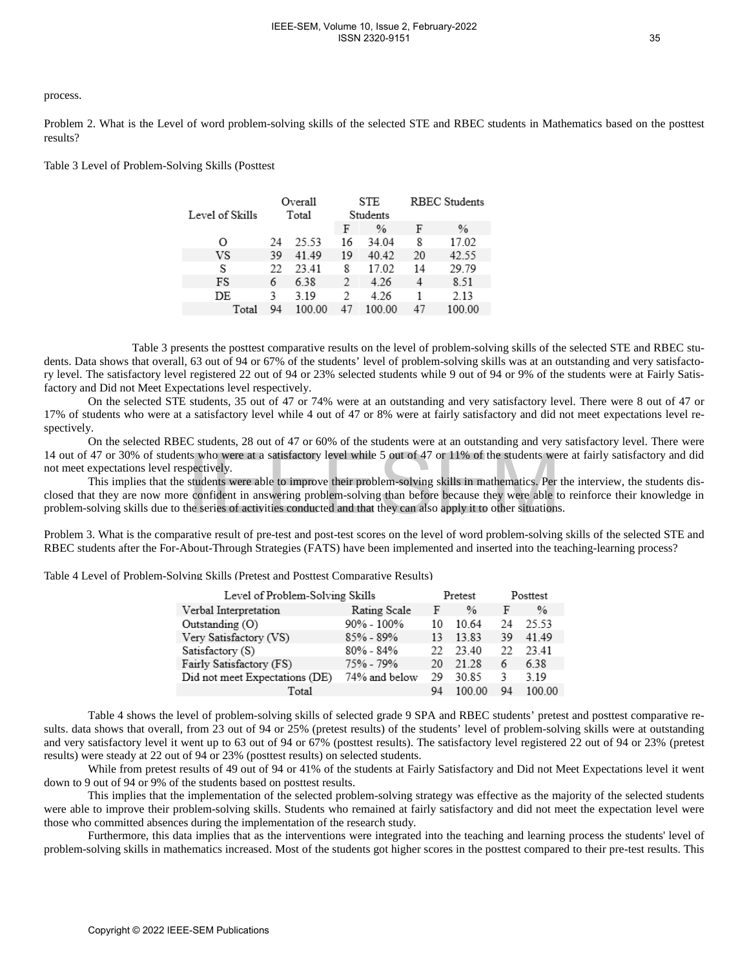#### process.

Problem 2. What is the Level of word problem-solving skills of the selected STE and RBEC students in Mathematics based on the posttest results?

Table 3 Level of Problem-Solving Skills (Posttest

| Level of Skills | Overall<br>Total |        |    | STE<br>Students | <b>RBEC Students</b> |        |  |
|-----------------|------------------|--------|----|-----------------|----------------------|--------|--|
|                 |                  |        | F  | $\frac{0}{0}$   | F                    | $\%$   |  |
| Ω               | 24               | 25.53  | 16 | 34.04           | 8                    | 17.02  |  |
| VS              | 39               | 41.49  | 19 | 40.42           | 20                   | 42.55  |  |
| S               | 22               | 23.41  | 8  | 17.02           | 14                   | 29.79  |  |
| FS              | 6                | 6.38   | 2  | 4.26            | 4                    | 8.51   |  |
| DE              | ٩                | 3.19   | 2  | 4 26            |                      | 2.13   |  |
| Total           | 94               | 100.00 | 47 | 100 00          | 47                   | 100.00 |  |

Table 3 presents the posttest comparative results on the level of problem-solving skills of the selected STE and RBEC students. Data shows that overall, 63 out of 94 or 67% of the students' level of problem-solving skills was at an outstanding and very satisfactory level. The satisfactory level registered 22 out of 94 or 23% selected students while 9 out of 94 or 9% of the students were at Fairly Satisfactory and Did not Meet Expectations level respectively.

On the selected STE students, 35 out of 47 or 74% were at an outstanding and very satisfactory level. There were 8 out of 47 or 17% of students who were at a satisfactory level while 4 out of 47 or 8% were at fairly satisfactory and did not meet expectations level respectively.

On the selected RBEC students, 28 out of 47 or 60% of the students were at an outstanding and very satisfactory level. There were 14 out of 47 or 30% of students who were at a satisfactory level while 5 out of 47 or 11% of the students were at fairly satisfactory and did not meet expectations level respectively.

This implies that the students were able to improve their problem-solving skills in mathematics. Per the interview, the students disclosed that they are now more confident in answering problem-solving than before because they were able to reinforce their knowledge in problem-solving skills due to the series of activities conducted and that they can also apply it to other situations.

Problem 3. What is the comparative result of pre-test and post-test scores on the level of word problem-solving skills of the selected STE and RBEC students after the For-About-Through Strategies (FATS) have been implemented and inserted into the teaching-learning process?

Table 4 Level of Problem-Solving Skills (Pretest and Posttest Comparative Results)

| expectations level respectively. | 47 or 30% of students who were at a satisfactory level while 5 out of 47 or 11% of the students were                                                                                                                                                                                                                                                                                                                                                                                                                                                                                                                                                                                                                                                                                                                                                                                                                                                                                                                                                                                              |               |         |        |          |        |
|----------------------------------|---------------------------------------------------------------------------------------------------------------------------------------------------------------------------------------------------------------------------------------------------------------------------------------------------------------------------------------------------------------------------------------------------------------------------------------------------------------------------------------------------------------------------------------------------------------------------------------------------------------------------------------------------------------------------------------------------------------------------------------------------------------------------------------------------------------------------------------------------------------------------------------------------------------------------------------------------------------------------------------------------------------------------------------------------------------------------------------------------|---------------|---------|--------|----------|--------|
|                                  | This implies that the students were able to improve their problem-solving skills in mathematics. Per t<br>at they are now more confident in answering problem-solving than before because they were able to<br>solving skills due to the series of activities conducted and that they can also apply it to other situations                                                                                                                                                                                                                                                                                                                                                                                                                                                                                                                                                                                                                                                                                                                                                                       |               |         |        |          |        |
|                                  | 3. What is the comparative result of pre-test and post-test scores on the level of word problem-solving<br>idents after the For-About-Through Strategies (FATS) have been implemented and inserted into the te                                                                                                                                                                                                                                                                                                                                                                                                                                                                                                                                                                                                                                                                                                                                                                                                                                                                                    |               |         |        |          |        |
|                                  | evel of Problem-Solving Skills (Pretest and Posttest Comparative Results)                                                                                                                                                                                                                                                                                                                                                                                                                                                                                                                                                                                                                                                                                                                                                                                                                                                                                                                                                                                                                         |               |         |        |          |        |
|                                  | Level of Problem-Solving Skills                                                                                                                                                                                                                                                                                                                                                                                                                                                                                                                                                                                                                                                                                                                                                                                                                                                                                                                                                                                                                                                                   |               | Pretest |        | Posttest |        |
|                                  | Verbal Interpretation                                                                                                                                                                                                                                                                                                                                                                                                                                                                                                                                                                                                                                                                                                                                                                                                                                                                                                                                                                                                                                                                             | Rating Scale  | F       | $\%$   | F        | $\%$   |
|                                  | Outstanding (O)                                                                                                                                                                                                                                                                                                                                                                                                                                                                                                                                                                                                                                                                                                                                                                                                                                                                                                                                                                                                                                                                                   | 90% - 100%    | 10      | 10.64  | 24       | 25.53  |
|                                  | Very Satisfactory (VS)                                                                                                                                                                                                                                                                                                                                                                                                                                                                                                                                                                                                                                                                                                                                                                                                                                                                                                                                                                                                                                                                            | 85% - 89%     | 13      | 13.83  | 39       | 41.49  |
|                                  | Satisfactory (S)                                                                                                                                                                                                                                                                                                                                                                                                                                                                                                                                                                                                                                                                                                                                                                                                                                                                                                                                                                                                                                                                                  | $80\% - 84\%$ | 22      | 23.40  | 22       | 23.41  |
|                                  | Fairly Satisfactory (FS)                                                                                                                                                                                                                                                                                                                                                                                                                                                                                                                                                                                                                                                                                                                                                                                                                                                                                                                                                                                                                                                                          | 75% - 79%     | 20      | 21.28  | 6        | 6.38   |
|                                  | Did not meet Expectations (DE)                                                                                                                                                                                                                                                                                                                                                                                                                                                                                                                                                                                                                                                                                                                                                                                                                                                                                                                                                                                                                                                                    | 74% and below | 29      | 30.85  | 3        | 3.19   |
|                                  | Total                                                                                                                                                                                                                                                                                                                                                                                                                                                                                                                                                                                                                                                                                                                                                                                                                                                                                                                                                                                                                                                                                             |               | 94      | 100.00 | 94       | 100.00 |
|                                  | Table 4 shows the level of problem-solving skills of selected grade 9 SPA and RBEC students' preter<br>a shows that overall, from 23 out of 94 or 25% (pretest results) of the students' level of problem-solv<br>satisfactory level it went up to 63 out of 94 or 67% (posttest results). The satisfactory level registered<br>ere steady at 22 out of 94 or 23% (posttest results) on selected students.<br>While from pretest results of 49 out of 94 or 41% of the students at Fairly Satisfactory and Did not M<br>out of 94 or 9% of the students based on posttest results.<br>This implies that the implementation of the selected problem-solving strategy was effective as the ma<br>to improve their problem-solving skills. Students who remained at fairly satisfactory and did not m<br>o committed absences during the implementation of the research study.<br>Furthermore, this data implies that as the interventions were integrated into the teaching and learning<br>solving skills in mathematics increased. Most of the students got higher scores in the posttest compare |               |         |        |          |        |
|                                  |                                                                                                                                                                                                                                                                                                                                                                                                                                                                                                                                                                                                                                                                                                                                                                                                                                                                                                                                                                                                                                                                                                   |               |         |        |          |        |
|                                  | Copyright © 2022 IEEE-SEM Publications                                                                                                                                                                                                                                                                                                                                                                                                                                                                                                                                                                                                                                                                                                                                                                                                                                                                                                                                                                                                                                                            |               |         |        |          |        |

Table 4 shows the level of problem-solving skills of selected grade 9 SPA and RBEC students' pretest and posttest comparative results. data shows that overall, from 23 out of 94 or 25% (pretest results) of the students' level of problem-solving skills were at outstanding and very satisfactory level it went up to 63 out of 94 or 67% (posttest results). The satisfactory level registered 22 out of 94 or 23% (pretest results) were steady at 22 out of 94 or 23% (posttest results) on selected students.

While from pretest results of 49 out of 94 or 41% of the students at Fairly Satisfactory and Did not Meet Expectations level it went down to 9 out of 94 or 9% of the students based on posttest results.

This implies that the implementation of the selected problem-solving strategy was effective as the majority of the selected students were able to improve their problem-solving skills. Students who remained at fairly satisfactory and did not meet the expectation level were those who committed absences during the implementation of the research study.

Furthermore, this data implies that as the interventions were integrated into the teaching and learning process the students' level of problem-solving skills in mathematics increased. Most of the students got higher scores in the posttest compared to their pre-test results. This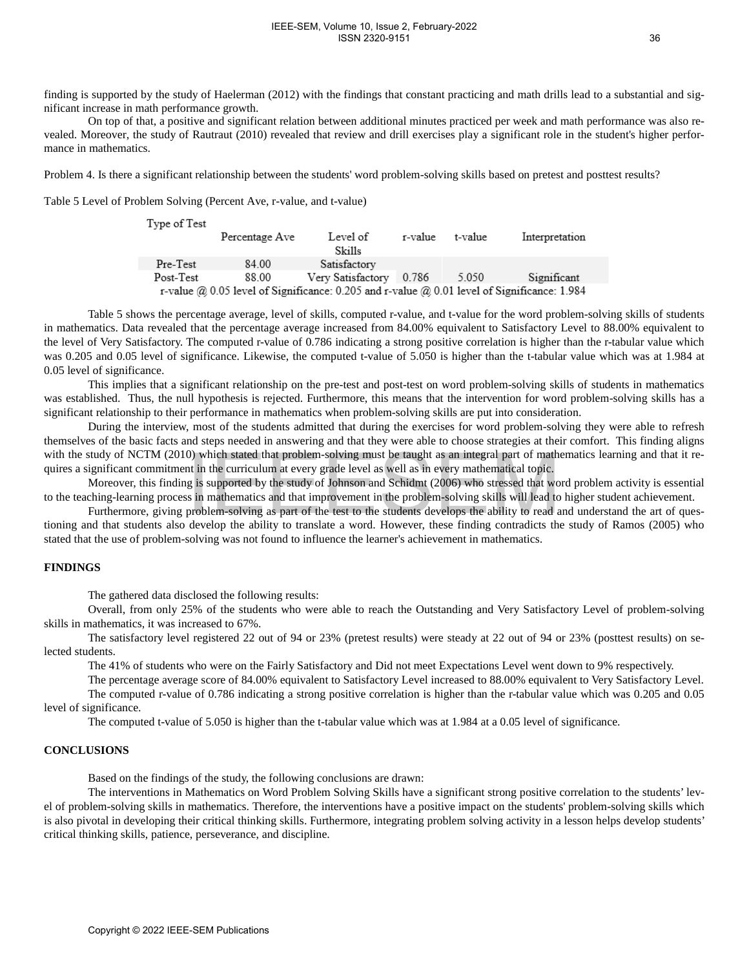#### IEEE-SEM, Volume 10, Issue 2, February-2022 ISSN 2320-9151

finding is supported by the study of Haelerman (2012) with the findings that constant practicing and math drills lead to a substantial and significant increase in math performance growth.

On top of that, a positive and significant relation between additional minutes practiced per week and math performance was also revealed. Moreover, the study of Rautraut (2010) revealed that review and drill exercises play a significant role in the student's higher performance in mathematics.

Problem 4. Is there a significant relationship between the students' word problem-solving skills based on pretest and posttest results?

Table 5 Level of Problem Solving (Percent Ave, r-value, and t-value)

| Type of Test                                                                                  | Percentage Ave | Level of<br>Skills | r-value | t-value | Interpretation |  |  |
|-----------------------------------------------------------------------------------------------|----------------|--------------------|---------|---------|----------------|--|--|
| Pre-Test                                                                                      | 84.00          | Satisfactory       |         |         |                |  |  |
| Post-Test                                                                                     | 88.00          | Very Satisfactory  | 0.786   | 5.050   | Significant    |  |  |
| r-value $@0.05$ level of Significance: 0.205 and r-value $@0.01$ level of Significance: 1.984 |                |                    |         |         |                |  |  |

Table 5 shows the percentage average, level of skills, computed r-value, and t-value for the word problem-solving skills of students in mathematics. Data revealed that the percentage average increased from 84.00% equivalent to Satisfactory Level to 88.00% equivalent to the level of Very Satisfactory. The computed r-value of 0.786 indicating a strong positive correlation is higher than the r-tabular value which was 0.205 and 0.05 level of significance. Likewise, the computed t-value of 5.050 is higher than the t-tabular value which was at 1.984 at 0.05 level of significance.

This implies that a significant relationship on the pre-test and post-test on word problem-solving skills of students in mathematics was established. Thus, the null hypothesis is rejected. Furthermore, this means that the intervention for word problem-solving skills has a significant relationship to their performance in mathematics when problem-solving skills are put into consideration.

During the interview, most of the students admitted that during the exercises for word problem-solving they were able to refresh themselves of the basic facts and steps needed in answering and that they were able to choose strategies at their comfort. This finding aligns with the study of NCTM (2010) which stated that problem-solving must be taught as an integral part of mathematics learning and that it requires a significant commitment in the curriculum at every grade level as well as in every mathematical topic.

Moreover, this finding is supported by the study of Johnson and Schidmt (2006) who stressed that word problem activity is essential to the teaching-learning process in mathematics and that improvement in the problem-solving skills will lead to higher student achievement.

Furthermore, giving problem-solving as part of the test to the students develops the ability to read and understand the art of questioning and that students also develop the ability to translate a word. However, these finding contradicts the study of Ramos (2005) who stated that the use of problem-solving was not found to influence the learner's achievement in mathematics.

## **FINDINGS**

The gathered data disclosed the following results:

Overall, from only 25% of the students who were able to reach the Outstanding and Very Satisfactory Level of problem-solving skills in mathematics, it was increased to 67%.

The satisfactory level registered 22 out of 94 or 23% (pretest results) were steady at 22 out of 94 or 23% (posttest results) on selected students.

The 41% of students who were on the Fairly Satisfactory and Did not meet Expectations Level went down to 9% respectively.

The percentage average score of 84.00% equivalent to Satisfactory Level increased to 88.00% equivalent to Very Satisfactory Level. The computed r-value of 0.786 indicating a strong positive correlation is higher than the r-tabular value which was 0.205 and 0.05 level of significance.

The computed t-value of 5.050 is higher than the t-tabular value which was at 1.984 at a 0.05 level of significance.

## **CONCLUSIONS**

Based on the findings of the study, the following conclusions are drawn:

The interventions in Mathematics on Word Problem Solving Skills have a significant strong positive correlation to the students' level of problem-solving skills in mathematics. Therefore, the interventions have a positive impact on the students' problem-solving skills which is also pivotal in developing their critical thinking skills. Furthermore, integrating problem solving activity in a lesson helps develop students' critical thinking skills, patience, perseverance, and discipline. and of NCTM (2010) which stated that problem solving must be trangit as an integral particular problem solving must be migrated particular problems of mathematical topic.<br>
Moreover, this inding is supported by the statedy